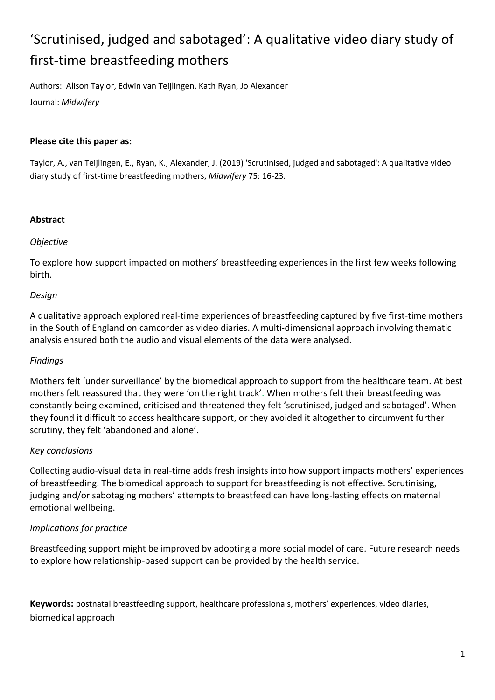# 'Scrutinised, judged and sabotaged': A qualitative video diary study of first-time breastfeeding mothers

Authors: Alison Taylor, Edwin van Teijlingen, Kath Ryan, Jo Alexander Journal: *Midwifery* 

# **Please cite this paper as:**

Taylor, A., van Teijlingen, E., Ryan, K., Alexander, J. (2019) 'Scrutinised, judged and sabotaged': A qualitative video diary study of first-time breastfeeding mothers, *Midwifery* 75: 16-23.

# **Abstract**

# *Objective*

To explore how support impacted on mothers' breastfeeding experiences in the first few weeks following birth.

# *Design*

A qualitative approach explored real-time experiences of breastfeeding captured by five first-time mothers in the South of England on camcorder as video diaries. A multi-dimensional approach involving thematic analysis ensured both the audio and visual elements of the data were analysed.

# *Findings*

Mothers felt 'under surveillance' by the biomedical approach to support from the healthcare team. At best mothers felt reassured that they were 'on the right track'. When mothers felt their breastfeeding was constantly being examined, criticised and threatened they felt 'scrutinised, judged and sabotaged'. When they found it difficult to access healthcare support, or they avoided it altogether to circumvent further scrutiny, they felt 'abandoned and alone'.

# *Key conclusions*

Collecting audio-visual data in real-time adds fresh insights into how support impacts mothers' experiences of breastfeeding. The biomedical approach to support for breastfeeding is not effective. Scrutinising, judging and/or sabotaging mothers' attempts to breastfeed can have long-lasting effects on maternal emotional wellbeing.

# *Implications for practice*

Breastfeeding support might be improved by adopting a more social model of care. Future research needs to explore how relationship-based support can be provided by the health service.

**Keywords:** postnatal breastfeeding support, healthcare professionals, mothers' experiences, video diaries, biomedical approach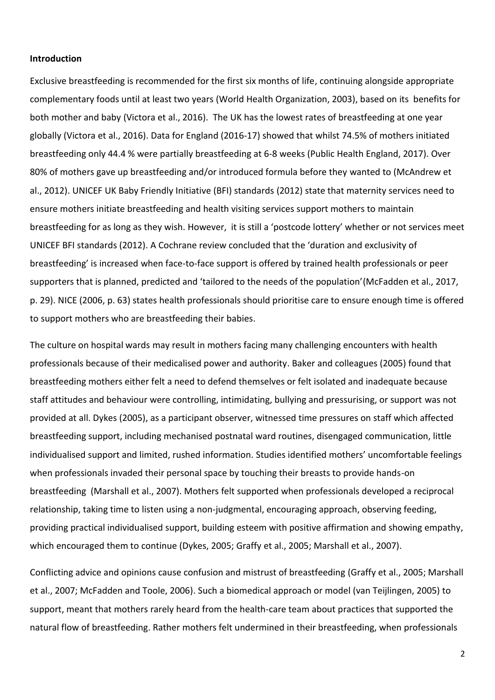#### **Introduction**

Exclusive breastfeeding is recommended for the first six months of life, continuing alongside appropriate complementary foods until at least two years (World Health Organization, 2003), based on its benefits for both mother and baby (Victora et al., 2016). The UK has the lowest rates of breastfeeding at one year globally (Victora et al., 2016). Data for England (2016-17) showed that whilst 74.5% of mothers initiated breastfeeding only 44.4 % were partially breastfeeding at 6-8 weeks (Public Health England, 2017). Over 80% of mothers gave up breastfeeding and/or introduced formula before they wanted to (McAndrew et al., 2012). UNICEF UK Baby Friendly Initiative (BFI) standards (2012) state that maternity services need to ensure mothers initiate breastfeeding and health visiting services support mothers to maintain breastfeeding for as long as they wish. However, it is still a 'postcode lottery' whether or not services meet UNICEF BFI standards (2012). A Cochrane review concluded that the 'duration and exclusivity of breastfeeding' is increased when face-to-face support is offered by trained health professionals or peer supporters that is planned, predicted and 'tailored to the needs of the population'(McFadden et al., 2017, p. 29). NICE (2006, p. 63) states health professionals should prioritise care to ensure enough time is offered to support mothers who are breastfeeding their babies.

The culture on hospital wards may result in mothers facing many challenging encounters with health professionals because of their medicalised power and authority. Baker and colleagues (2005) found that breastfeeding mothers either felt a need to defend themselves or felt isolated and inadequate because staff attitudes and behaviour were controlling, intimidating, bullying and pressurising, or support was not provided at all. Dykes (2005), as a participant observer, witnessed time pressures on staff which affected breastfeeding support, including mechanised postnatal ward routines, disengaged communication, little individualised support and limited, rushed information. Studies identified mothers' uncomfortable feelings when professionals invaded their personal space by touching their breasts to provide hands-on breastfeeding (Marshall et al., 2007). Mothers felt supported when professionals developed a reciprocal relationship, taking time to listen using a non-judgmental, encouraging approach, observing feeding, providing practical individualised support, building esteem with positive affirmation and showing empathy, which encouraged them to continue (Dykes, 2005; Graffy et al., 2005; Marshall et al., 2007).

Conflicting advice and opinions cause confusion and mistrust of breastfeeding (Graffy et al., 2005; Marshall et al., 2007; McFadden and Toole, 2006). Such a biomedical approach or model (van Teijlingen, 2005) to support, meant that mothers rarely heard from the health-care team about practices that supported the natural flow of breastfeeding. Rather mothers felt undermined in their breastfeeding, when professionals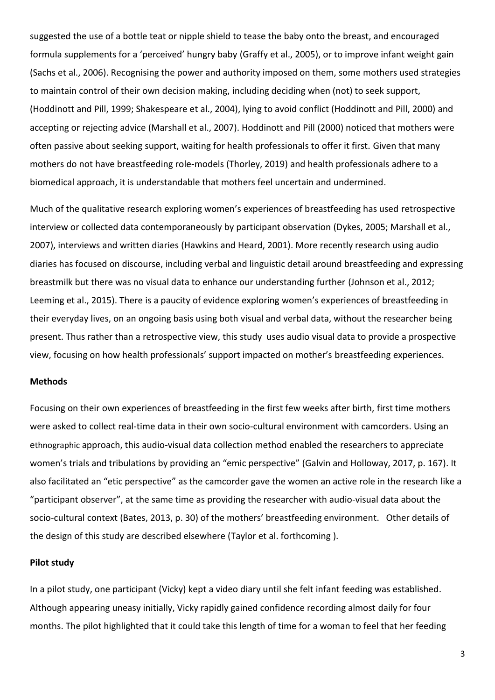suggested the use of a bottle teat or nipple shield to tease the baby onto the breast, and encouraged formula supplements for a 'perceived' hungry baby (Graffy et al., 2005), or to improve infant weight gain (Sachs et al., 2006). Recognising the power and authority imposed on them, some mothers used strategies to maintain control of their own decision making, including deciding when (not) to seek support, (Hoddinott and Pill, 1999; Shakespeare et al., 2004), lying to avoid conflict (Hoddinott and Pill, 2000) and accepting or rejecting advice (Marshall et al., 2007). Hoddinott and Pill (2000) noticed that mothers were often passive about seeking support, waiting for health professionals to offer it first. Given that many mothers do not have breastfeeding role-models (Thorley, 2019) and health professionals adhere to a biomedical approach, it is understandable that mothers feel uncertain and undermined.

Much of the qualitative research exploring women's experiences of breastfeeding has used retrospective interview or collected data contemporaneously by participant observation (Dykes, 2005; Marshall et al., 2007), interviews and written diaries (Hawkins and Heard, 2001). More recently research using audio diaries has focused on discourse, including verbal and linguistic detail around breastfeeding and expressing breastmilk but there was no visual data to enhance our understanding further (Johnson et al., 2012; Leeming et al., 2015). There is a paucity of evidence exploring women's experiences of breastfeeding in their everyday lives, on an ongoing basis using both visual and verbal data, without the researcher being present. Thus rather than a retrospective view, this study uses audio visual data to provide a prospective view, focusing on how health professionals' support impacted on mother's breastfeeding experiences.

## **Methods**

Focusing on their own experiences of breastfeeding in the first few weeks after birth, first time mothers were asked to collect real-time data in their own socio-cultural environment with camcorders. Using an ethnographic approach, this audio-visual data collection method enabled the researchers to appreciate women's trials and tribulations by providing an "emic perspective" (Galvin and Holloway, 2017, p. 167). It also facilitated an "etic perspective" as the camcorder gave the women an active role in the research like a "participant observer", at the same time as providing the researcher with audio-visual data about the socio-cultural context (Bates, 2013, p. 30) of the mothers' breastfeeding environment. Other details of the design of this study are described elsewhere (Taylor et al. forthcoming ).

#### **Pilot study**

In a pilot study, one participant (Vicky) kept a video diary until she felt infant feeding was established. Although appearing uneasy initially, Vicky rapidly gained confidence recording almost daily for four months. The pilot highlighted that it could take this length of time for a woman to feel that her feeding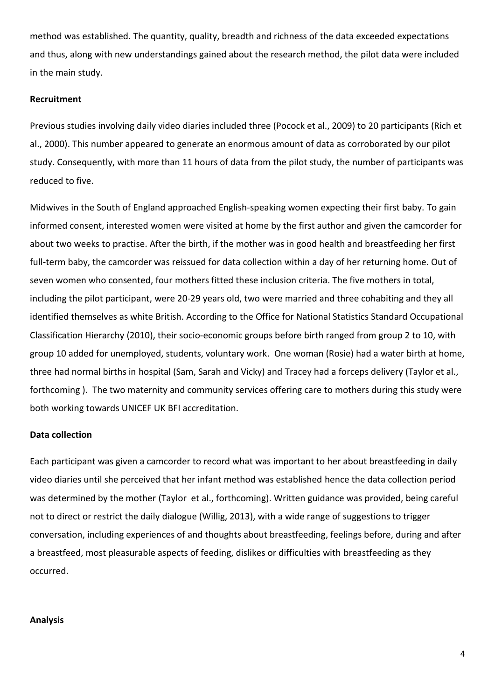method was established. The quantity, quality, breadth and richness of the data exceeded expectations and thus, along with new understandings gained about the research method, the pilot data were included in the main study.

## **Recruitment**

Previous studies involving daily video diaries included three (Pocock et al., 2009) to 20 participants (Rich et al., 2000). This number appeared to generate an enormous amount of data as corroborated by our pilot study. Consequently, with more than 11 hours of data from the pilot study, the number of participants was reduced to five.

Midwives in the South of England approached English-speaking women expecting their first baby. To gain informed consent, interested women were visited at home by the first author and given the camcorder for about two weeks to practise. After the birth, if the mother was in good health and breastfeeding her first full-term baby, the camcorder was reissued for data collection within a day of her returning home. Out of seven women who consented, four mothers fitted these inclusion criteria. The five mothers in total, including the pilot participant, were 20-29 years old, two were married and three cohabiting and they all identified themselves as white British. According to the Office for National Statistics Standard Occupational Classification Hierarchy (2010), their socio-economic groups before birth ranged from group 2 to 10, with group 10 added for unemployed, students, voluntary work. One woman (Rosie) had a water birth at home, three had normal births in hospital (Sam, Sarah and Vicky) and Tracey had a forceps delivery (Taylor et al., forthcoming ). The two maternity and community services offering care to mothers during this study were both working towards UNICEF UK BFI accreditation.

## **Data collection**

Each participant was given a camcorder to record what was important to her about breastfeeding in daily video diaries until she perceived that her infant method was established hence the data collection period was determined by the mother (Taylor et al., forthcoming). Written guidance was provided, being careful not to direct or restrict the daily dialogue (Willig, 2013), with a wide range of suggestions to trigger conversation, including experiences of and thoughts about breastfeeding, feelings before, during and after a breastfeed, most pleasurable aspects of feeding, dislikes or difficulties with breastfeeding as they occurred.

#### **Analysis**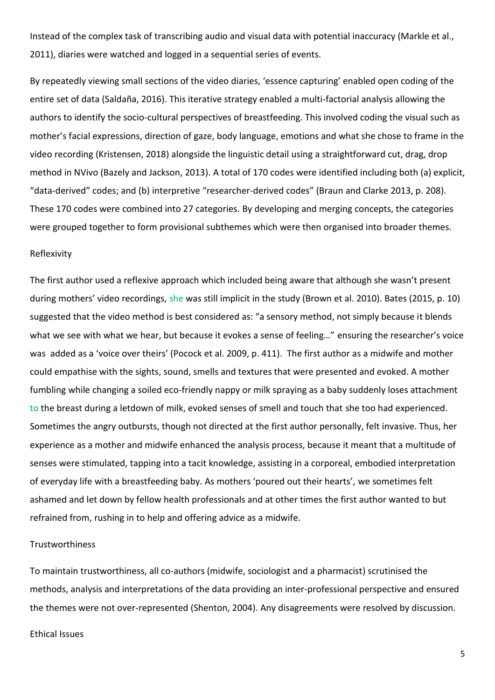Instead of the complex task of transcribing audio and visual data with potential inaccuracy (Markle et al., 2011), diaries were watched and logged in a sequential series of events.

By repeatedly viewing small sections of the video diaries, 'essence capturing' enabled open coding of the entire set of data (Saldaña, 2016). This iterative strategy enabled a multi-factorial analysis allowing the authors to identify the socio-cultural perspectives of breastfeeding. This involved coding the visual such as mother's facial expressions, direction of gaze, body language, emotions and what she chose to frame in the video recording (Kristensen, 2018) alongside the linguistic detail using a straightforward cut, drag, drop method in NVivo (Bazely and Jackson, 2013). A total of 170 codes were identified including both (a) explicit, "data-derived" codes; and (b) interpretive "researcher-derived codes" (Braun and Clarke 2013, p. 208). These 170 codes were combined into 27 categories. By developing and merging concepts, the categories were grouped together to form provisional subthemes which were then organised into broader themes.

#### Reflexivity

The first author used a reflexive approach which included being aware that although she wasn't present during mothers' video recordings, she was still implicit in the study (Brown et al. 2010). Bates (2015, p. 10) suggested that the video method is best considered as: "a sensory method, not simply because it blends what we see with what we hear, but because it evokes a sense of feeling…" ensuring the researcher's voice was added as a 'voice over theirs' (Pocock et al. 2009, p. 411). The first author as a midwife and mother could empathise with the sights, sound, smells and textures that were presented and evoked. A mother fumbling while changing a soiled eco-friendly nappy or milk spraying as a baby suddenly loses attachment to the breast during a letdown of milk, evoked senses of smell and touch that she too had experienced. Sometimes the angry outbursts, though not directed at the first author personally, felt invasive. Thus, her experience as a mother and midwife enhanced the analysis process, because it meant that a multitude of senses were stimulated, tapping into a tacit knowledge, assisting in a corporeal, embodied interpretation of everyday life with a breastfeeding baby. As mothers 'poured out their hearts', we sometimes felt ashamed and let down by fellow health professionals and at other times the first author wanted to but refrained from, rushing in to help and offering advice as a midwife.

#### Trustworthiness

To maintain trustworthiness, all co-authors (midwife, sociologist and a pharmacist) scrutinised the methods, analysis and interpretations of the data providing an inter-professional perspective and ensured the themes were not over-represented (Shenton, 2004). Any disagreements were resolved by discussion.

#### Ethical Issues

5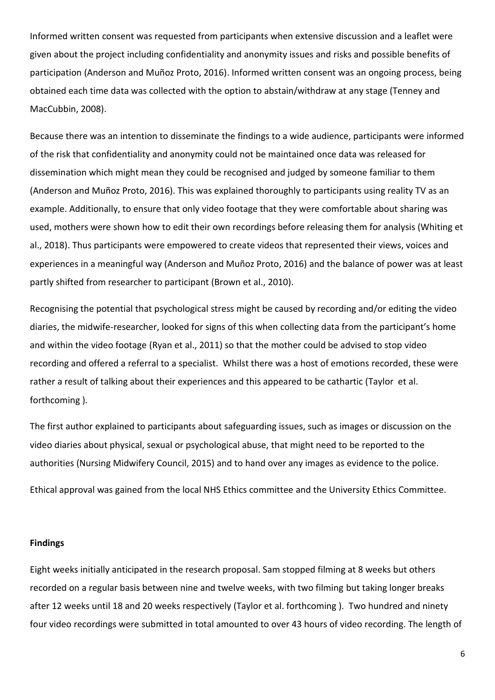Informed written consent was requested from participants when extensive discussion and a leaflet were given about the project including confidentiality and anonymity issues and risks and possible benefits of participation (Anderson and Muñoz Proto, 2016). Informed written consent was an ongoing process, being obtained each time data was collected with the option to abstain/withdraw at any stage (Tenney and MacCubbin, 2008).

Because there was an intention to disseminate the findings to a wide audience, participants were informed of the risk that confidentiality and anonymity could not be maintained once data was released for dissemination which might mean they could be recognised and judged by someone familiar to them (Anderson and Muñoz Proto, 2016). This was explained thoroughly to participants using reality TV as an example. Additionally, to ensure that only video footage that they were comfortable about sharing was used, mothers were shown how to edit their own recordings before releasing them for analysis (Whiting et al., 2018). Thus participants were empowered to create videos that represented their views, voices and experiences in a meaningful way (Anderson and Muñoz Proto, 2016) and the balance of power was at least partly shifted from researcher to participant (Brown et al., 2010).

Recognising the potential that psychological stress might be caused by recording and/or editing the video diaries, the midwife-researcher, looked for signs of this when collecting data from the participant's home and within the video footage (Ryan et al., 2011) so that the mother could be advised to stop video recording and offered a referral to a specialist. Whilst there was a host of emotions recorded, these were rather a result of talking about their experiences and this appeared to be cathartic (Taylor et al. forthcoming ).

The first author explained to participants about safeguarding issues, such as images or discussion on the video diaries about physical, sexual or psychological abuse, that might need to be reported to the authorities (Nursing Midwifery Council, 2015) and to hand over any images as evidence to the police.

Ethical approval was gained from the local NHS Ethics committee and the University Ethics Committee.

#### **Findings**

Eight weeks initially anticipated in the research proposal. Sam stopped filming at 8 weeks but others recorded on a regular basis between nine and twelve weeks, with two filming but taking longer breaks after 12 weeks until 18 and 20 weeks respectively (Taylor et al. forthcoming ). Two hundred and ninety four video recordings were submitted in total amounted to over 43 hours of video recording. The length of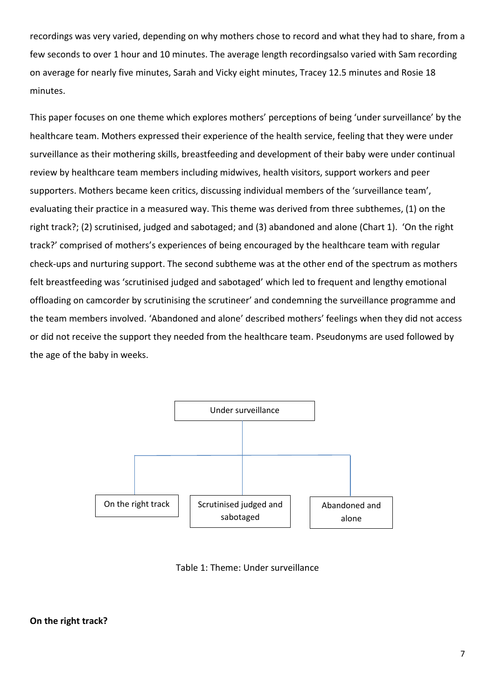recordings was very varied, depending on why mothers chose to record and what they had to share, from a few seconds to over 1 hour and 10 minutes. The average length recordingsalso varied with Sam recording on average for nearly five minutes, Sarah and Vicky eight minutes, Tracey 12.5 minutes and Rosie 18 minutes.

This paper focuses on one theme which explores mothers' perceptions of being 'under surveillance' by the healthcare team. Mothers expressed their experience of the health service, feeling that they were under surveillance as their mothering skills, breastfeeding and development of their baby were under continual review by healthcare team members including midwives, health visitors, support workers and peer supporters. Mothers became keen critics, discussing individual members of the 'surveillance team', evaluating their practice in a measured way. This theme was derived from three subthemes, (1) on the right track?; (2) scrutinised, judged and sabotaged; and (3) abandoned and alone (Chart 1). 'On the right track?' comprised of mothers's experiences of being encouraged by the healthcare team with regular check-ups and nurturing support. The second subtheme was at the other end of the spectrum as mothers felt breastfeeding was 'scrutinised judged and sabotaged' which led to frequent and lengthy emotional offloading on camcorder by scrutinising the scrutineer' and condemning the surveillance programme and the team members involved. 'Abandoned and alone' described mothers' feelings when they did not access or did not receive the support they needed from the healthcare team. Pseudonyms are used followed by the age of the baby in weeks.



Table 1: Theme: Under surveillance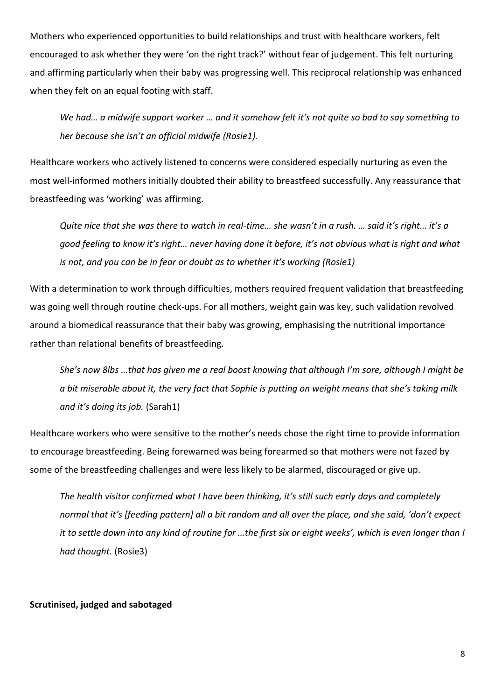Mothers who experienced opportunities to build relationships and trust with healthcare workers, felt encouraged to ask whether they were 'on the right track?' without fear of judgement. This felt nurturing and affirming particularly when their baby was progressing well. This reciprocal relationship was enhanced when they felt on an equal footing with staff.

*We had… a midwife support worker … and it somehow felt it's not quite so bad to say something to her because she isn't an official midwife (Rosie1).*

Healthcare workers who actively listened to concerns were considered especially nurturing as even the most well-informed mothers initially doubted their ability to breastfeed successfully. Any reassurance that breastfeeding was 'working' was affirming.

*Quite nice that she was there to watch in real-time… she wasn't in a rush. … said it's right… it's a good feeling to know it's right… never having done it before, it's not obvious what is right and what is not, and you can be in fear or doubt as to whether it's working (Rosie1)*

With a determination to work through difficulties, mothers required frequent validation that breastfeeding was going well through routine check-ups. For all mothers, weight gain was key, such validation revolved around a biomedical reassurance that their baby was growing, emphasising the nutritional importance rather than relational benefits of breastfeeding.

*She's now 8lbs …that has given me a real boost knowing that although I'm sore, although I might be a bit miserable about it, the very fact that Sophie is putting on weight means that she's taking milk and it's doing its job.* (Sarah1)

Healthcare workers who were sensitive to the mother's needs chose the right time to provide information to encourage breastfeeding. Being forewarned was being forearmed so that mothers were not fazed by some of the breastfeeding challenges and were less likely to be alarmed, discouraged or give up.

*The health visitor confirmed what I have been thinking, it's still such early days and completely normal that it's [feeding pattern] all a bit random and all over the place, and she said, 'don't expect it to settle down into any kind of routine for …the first six or eight weeks', which is even longer than I had thought.* (Rosie3)

## **Scrutinised, judged and sabotaged**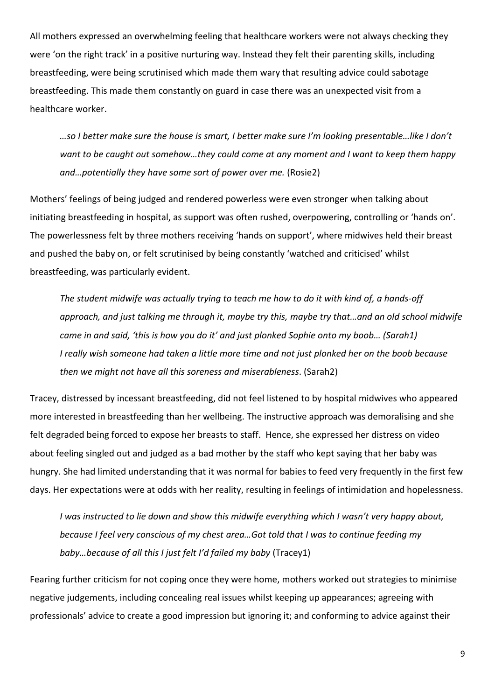All mothers expressed an overwhelming feeling that healthcare workers were not always checking they were 'on the right track' in a positive nurturing way. Instead they felt their parenting skills, including breastfeeding, were being scrutinised which made them wary that resulting advice could sabotage breastfeeding. This made them constantly on guard in case there was an unexpected visit from a healthcare worker.

*…so I better make sure the house is smart, I better make sure I'm looking presentable…like I don't want to be caught out somehow…they could come at any moment and I want to keep them happy and…potentially they have some sort of power over me.* (Rosie2)

Mothers' feelings of being judged and rendered powerless were even stronger when talking about initiating breastfeeding in hospital, as support was often rushed, overpowering, controlling or 'hands on'. The powerlessness felt by three mothers receiving 'hands on support', where midwives held their breast and pushed the baby on, or felt scrutinised by being constantly 'watched and criticised' whilst breastfeeding, was particularly evident.

*The student midwife was actually trying to teach me how to do it with kind of, a hands-off approach, and just talking me through it, maybe try this, maybe try that…and an old school midwife came in and said, 'this is how you do it' and just plonked Sophie onto my boob… (Sarah1) I really wish someone had taken a little more time and not just plonked her on the boob because then we might not have all this soreness and miserableness*. (Sarah2)

Tracey, distressed by incessant breastfeeding, did not feel listened to by hospital midwives who appeared more interested in breastfeeding than her wellbeing. The instructive approach was demoralising and she felt degraded being forced to expose her breasts to staff. Hence, she expressed her distress on video about feeling singled out and judged as a bad mother by the staff who kept saying that her baby was hungry. She had limited understanding that it was normal for babies to feed very frequently in the first few days. Her expectations were at odds with her reality, resulting in feelings of intimidation and hopelessness.

*I was instructed to lie down and show this midwife everything which I wasn't very happy about, because I feel very conscious of my chest area…Got told that I was to continue feeding my baby…because of all this I just felt I'd failed my baby* (Tracey1)

Fearing further criticism for not coping once they were home, mothers worked out strategies to minimise negative judgements, including concealing real issues whilst keeping up appearances; agreeing with professionals' advice to create a good impression but ignoring it; and conforming to advice against their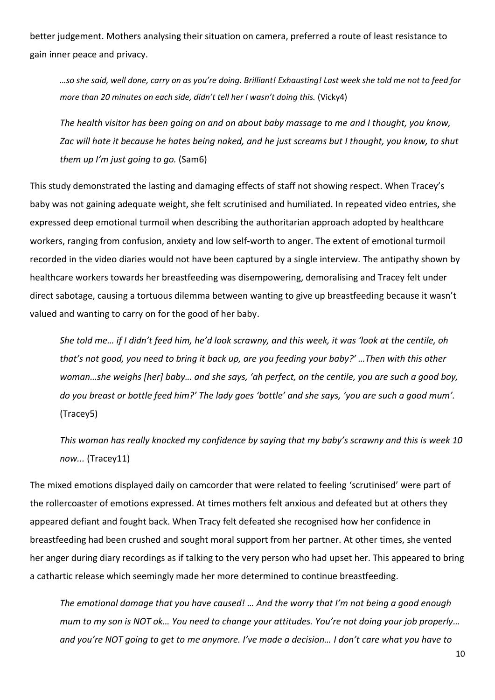better judgement. Mothers analysing their situation on camera, preferred a route of least resistance to gain inner peace and privacy.

*…so she said, well done, carry on as you're doing. Brilliant! Exhausting! Last week she told me not to feed for more than 20 minutes on each side, didn't tell her I wasn't doing this.* (Vicky4)

*The health visitor has been going on and on about baby massage to me and I thought, you know, Zac will hate it because he hates being naked, and he just screams but I thought, you know, to shut them up I'm just going to go.* (Sam6)

This study demonstrated the lasting and damaging effects of staff not showing respect. When Tracey's baby was not gaining adequate weight, she felt scrutinised and humiliated. In repeated video entries, she expressed deep emotional turmoil when describing the authoritarian approach adopted by healthcare workers, ranging from confusion, anxiety and low self-worth to anger. The extent of emotional turmoil recorded in the video diaries would not have been captured by a single interview. The antipathy shown by healthcare workers towards her breastfeeding was disempowering, demoralising and Tracey felt under direct sabotage, causing a tortuous dilemma between wanting to give up breastfeeding because it wasn't valued and wanting to carry on for the good of her baby.

*She told me… if I didn't feed him, he'd look scrawny, and this week, it was 'look at the centile, oh that's not good, you need to bring it back up, are you feeding your baby?' …Then with this other woman…she weighs [her] baby… and she says, 'ah perfect, on the centile, you are such a good boy, do you breast or bottle feed him?' The lady goes 'bottle' and she says, 'you are such a good mum'.*  (Tracey5)

*This woman has really knocked my confidence by saying that my baby's scrawny and this is week 10 now...* (Tracey11)

The mixed emotions displayed daily on camcorder that were related to feeling 'scrutinised' were part of the rollercoaster of emotions expressed. At times mothers felt anxious and defeated but at others they appeared defiant and fought back. When Tracy felt defeated she recognised how her confidence in breastfeeding had been crushed and sought moral support from her partner. At other times, she vented her anger during diary recordings as if talking to the very person who had upset her. This appeared to bring a cathartic release which seemingly made her more determined to continue breastfeeding.

*The emotional damage that you have caused! … And the worry that I'm not being a good enough mum to my son is NOT ok… You need to change your attitudes. You're not doing your job properly… and you're NOT going to get to me anymore. I've made a decision… I don't care what you have to*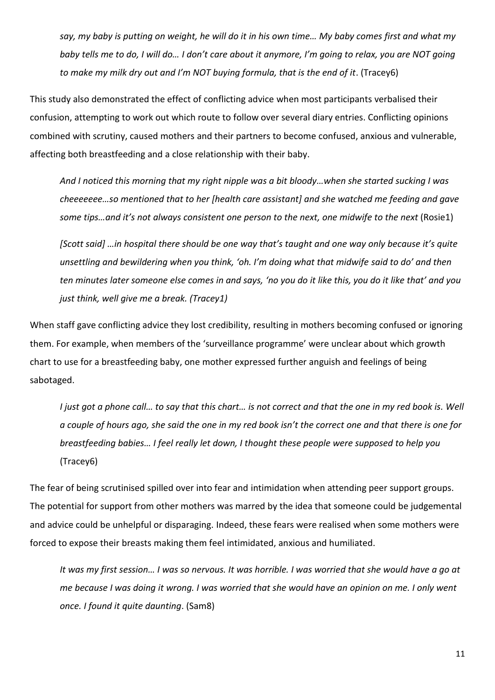*say, my baby is putting on weight, he will do it in his own time… My baby comes first and what my baby tells me to do, I will do… I don't care about it anymore, I'm going to relax, you are NOT going to make my milk dry out and I'm NOT buying formula, that is the end of it*. (Tracey6)

This study also demonstrated the effect of conflicting advice when most participants verbalised their confusion, attempting to work out which route to follow over several diary entries. Conflicting opinions combined with scrutiny, caused mothers and their partners to become confused, anxious and vulnerable, affecting both breastfeeding and a close relationship with their baby.

*And I noticed this morning that my right nipple was a bit bloody…when she started sucking I was cheeeeeee…so mentioned that to her [health care assistant] and she watched me feeding and gave some tips…and it's not always consistent one person to the next, one midwife to the next* (Rosie1)

*[Scott said] …in hospital there should be one way that's taught and one way only because it's quite unsettling and bewildering when you think, 'oh. I'm doing what that midwife said to do' and then ten minutes later someone else comes in and says, 'no you do it like this, you do it like that' and you just think, well give me a break. (Tracey1)*

When staff gave conflicting advice they lost credibility, resulting in mothers becoming confused or ignoring them. For example, when members of the 'surveillance programme' were unclear about which growth chart to use for a breastfeeding baby, one mother expressed further anguish and feelings of being sabotaged.

*I just got a phone call… to say that this chart… is not correct and that the one in my red book is. Well a couple of hours ago, she said the one in my red book isn't the correct one and that there is one for breastfeeding babies… I feel really let down, I thought these people were supposed to help you*  (Tracey6)

The fear of being scrutinised spilled over into fear and intimidation when attending peer support groups. The potential for support from other mothers was marred by the idea that someone could be judgemental and advice could be unhelpful or disparaging. Indeed, these fears were realised when some mothers were forced to expose their breasts making them feel intimidated, anxious and humiliated.

*It was my first session… I was so nervous. It was horrible. I was worried that she would have a go at me because I was doing it wrong. I was worried that she would have an opinion on me. I only went once. I found it quite daunting*. (Sam8)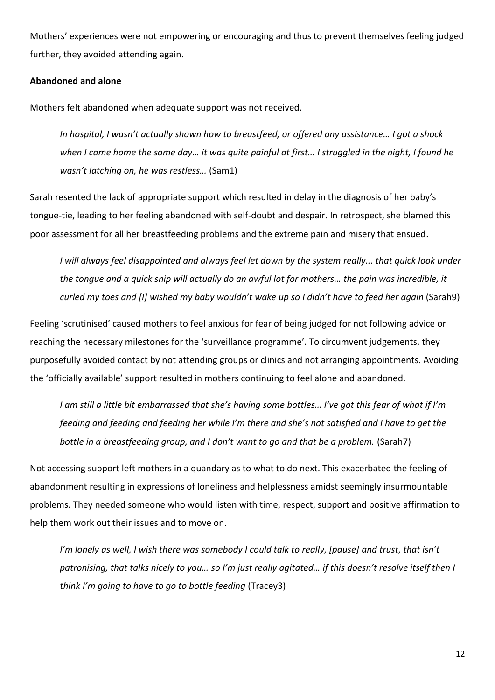Mothers' experiences were not empowering or encouraging and thus to prevent themselves feeling judged further, they avoided attending again.

## **Abandoned and alone**

Mothers felt abandoned when adequate support was not received.

*In hospital, I wasn't actually shown how to breastfeed, or offered any assistance… I got a shock when I came home the same day… it was quite painful at first… I struggled in the night, I found he wasn't latching on, he was restless…* (Sam1)

Sarah resented the lack of appropriate support which resulted in delay in the diagnosis of her baby's tongue-tie, leading to her feeling abandoned with self-doubt and despair. In retrospect, she blamed this poor assessment for all her breastfeeding problems and the extreme pain and misery that ensued.

*I will always feel disappointed and always feel let down by the system really... that quick look under the tongue and a quick snip will actually do an awful lot for mothers… the pain was incredible, it curled my toes and [I] wished my baby wouldn't wake up so I didn't have to feed her again* (Sarah9)

Feeling 'scrutinised' caused mothers to feel anxious for fear of being judged for not following advice or reaching the necessary milestones for the 'surveillance programme'. To circumvent judgements, they purposefully avoided contact by not attending groups or clinics and not arranging appointments. Avoiding the 'officially available' support resulted in mothers continuing to feel alone and abandoned.

*I am still a little bit embarrassed that she's having some bottles… I've got this fear of what if I'm feeding and feeding and feeding her while I'm there and she's not satisfied and I have to get the bottle in a breastfeeding group, and I don't want to go and that be a problem.* (Sarah7)

Not accessing support left mothers in a quandary as to what to do next. This exacerbated the feeling of abandonment resulting in expressions of loneliness and helplessness amidst seemingly insurmountable problems. They needed someone who would listen with time, respect, support and positive affirmation to help them work out their issues and to move on.

*I'm lonely as well, I wish there was somebody I could talk to really, [pause] and trust, that isn't patronising, that talks nicely to you… so I'm just really agitated… if this doesn't resolve itself then I think I'm going to have to go to bottle feeding* (Tracey3)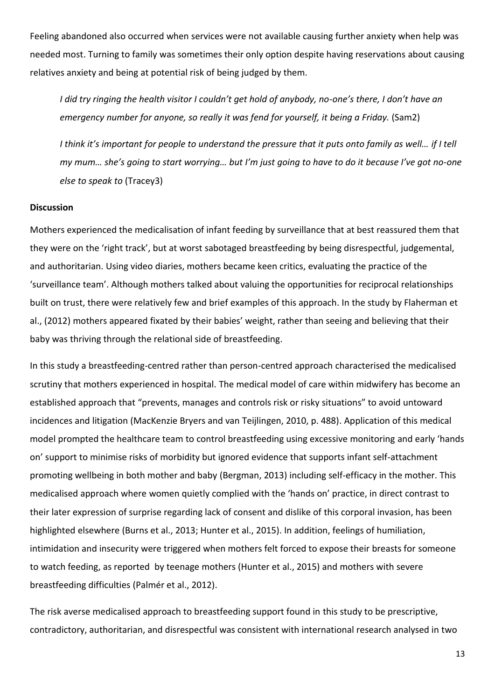Feeling abandoned also occurred when services were not available causing further anxiety when help was needed most. Turning to family was sometimes their only option despite having reservations about causing relatives anxiety and being at potential risk of being judged by them.

*I did try ringing the health visitor I couldn't get hold of anybody, no-one's there, I don't have an emergency number for anyone, so really it was fend for yourself, it being a Friday.* (Sam2)

*I think it's important for people to understand the pressure that it puts onto family as well… if I tell my mum… she's going to start worrying… but I'm just going to have to do it because I've got no-one else to speak to* (Tracey3)

#### **Discussion**

Mothers experienced the medicalisation of infant feeding by surveillance that at best reassured them that they were on the 'right track', but at worst sabotaged breastfeeding by being disrespectful, judgemental, and authoritarian. Using video diaries, mothers became keen critics, evaluating the practice of the 'surveillance team'. Although mothers talked about valuing the opportunities for reciprocal relationships built on trust, there were relatively few and brief examples of this approach. In the study by Flaherman et al., (2012) mothers appeared fixated by their babies' weight, rather than seeing and believing that their baby was thriving through the relational side of breastfeeding.

In this study a breastfeeding-centred rather than person-centred approach characterised the medicalised scrutiny that mothers experienced in hospital. The medical model of care within midwifery has become an established approach that "prevents, manages and controls risk or risky situations" to avoid untoward incidences and litigation (MacKenzie Bryers and van Teijlingen, 2010, p. 488). Application of this medical model prompted the healthcare team to control breastfeeding using excessive monitoring and early 'hands on' support to minimise risks of morbidity but ignored evidence that supports infant self-attachment promoting wellbeing in both mother and baby (Bergman, 2013) including self-efficacy in the mother. This medicalised approach where women quietly complied with the 'hands on' practice, in direct contrast to their later expression of surprise regarding lack of consent and dislike of this corporal invasion, has been highlighted elsewhere (Burns et al., 2013; Hunter et al., 2015). In addition, feelings of humiliation, intimidation and insecurity were triggered when mothers felt forced to expose their breasts for someone to watch feeding, as reported by teenage mothers (Hunter et al., 2015) and mothers with severe breastfeeding difficulties (Palmér et al., 2012).

The risk averse medicalised approach to breastfeeding support found in this study to be prescriptive, contradictory, authoritarian, and disrespectful was consistent with international research analysed in two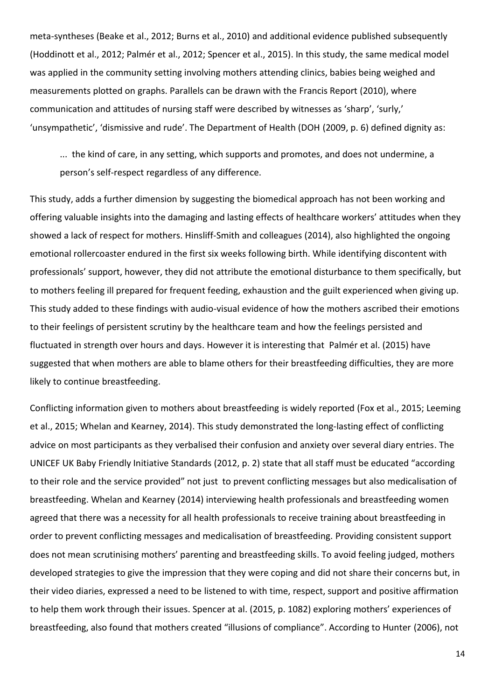meta-syntheses (Beake et al., 2012; Burns et al., 2010) and additional evidence published subsequently (Hoddinott et al., 2012; Palmér et al., 2012; Spencer et al., 2015). In this study, the same medical model was applied in the community setting involving mothers attending clinics, babies being weighed and measurements plotted on graphs. Parallels can be drawn with the Francis Report (2010), where communication and attitudes of nursing staff were described by witnesses as 'sharp', 'surly,' 'unsympathetic', 'dismissive and rude'. The Department of Health (DOH (2009, p. 6) defined dignity as:

... the kind of care, in any setting, which supports and promotes, and does not undermine, a person's self-respect regardless of any difference.

This study, adds a further dimension by suggesting the biomedical approach has not been working and offering valuable insights into the damaging and lasting effects of healthcare workers' attitudes when they showed a lack of respect for mothers. Hinsliff-Smith and colleagues (2014), also highlighted the ongoing emotional rollercoaster endured in the first six weeks following birth. While identifying discontent with professionals' support, however, they did not attribute the emotional disturbance to them specifically, but to mothers feeling ill prepared for frequent feeding, exhaustion and the guilt experienced when giving up. This study added to these findings with audio-visual evidence of how the mothers ascribed their emotions to their feelings of persistent scrutiny by the healthcare team and how the feelings persisted and fluctuated in strength over hours and days. However it is interesting that Palmér et al. (2015) have suggested that when mothers are able to blame others for their breastfeeding difficulties, they are more likely to continue breastfeeding.

Conflicting information given to mothers about breastfeeding is widely reported (Fox et al., 2015; Leeming et al., 2015; Whelan and Kearney, 2014). This study demonstrated the long-lasting effect of conflicting advice on most participants as they verbalised their confusion and anxiety over several diary entries. The UNICEF UK Baby Friendly Initiative Standards (2012, p. 2) state that all staff must be educated "according to their role and the service provided" not just to prevent conflicting messages but also medicalisation of breastfeeding. Whelan and Kearney (2014) interviewing health professionals and breastfeeding women agreed that there was a necessity for all health professionals to receive training about breastfeeding in order to prevent conflicting messages and medicalisation of breastfeeding. Providing consistent support does not mean scrutinising mothers' parenting and breastfeeding skills. To avoid feeling judged, mothers developed strategies to give the impression that they were coping and did not share their concerns but, in their video diaries, expressed a need to be listened to with time, respect, support and positive affirmation to help them work through their issues. Spencer at al. (2015, p. 1082) exploring mothers' experiences of breastfeeding, also found that mothers created "illusions of compliance". According to Hunter (2006), not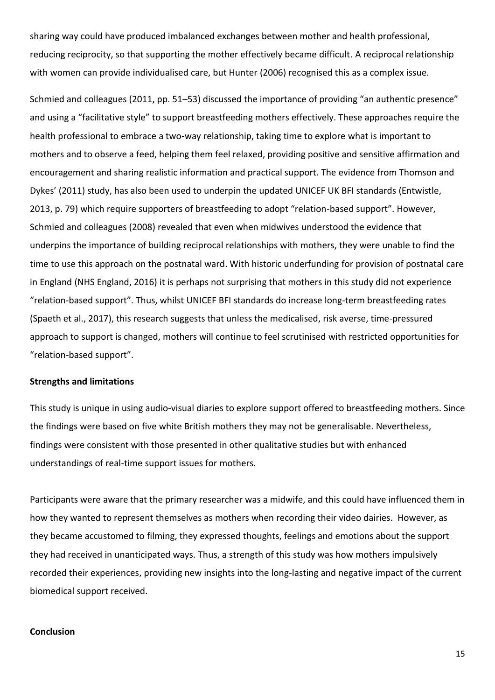sharing way could have produced imbalanced exchanges between mother and health professional, reducing reciprocity, so that supporting the mother effectively became difficult. A reciprocal relationship with women can provide individualised care, but Hunter (2006) recognised this as a complex issue.

Schmied and colleagues (2011, pp. 51–53) discussed the importance of providing "an authentic presence" and using a "facilitative style" to support breastfeeding mothers effectively. These approaches require the health professional to embrace a two-way relationship, taking time to explore what is important to mothers and to observe a feed, helping them feel relaxed, providing positive and sensitive affirmation and encouragement and sharing realistic information and practical support. The evidence from Thomson and Dykes' (2011) study, has also been used to underpin the updated UNICEF UK BFI standards (Entwistle, 2013, p. 79) which require supporters of breastfeeding to adopt "relation-based support". However, Schmied and colleagues (2008) revealed that even when midwives understood the evidence that underpins the importance of building reciprocal relationships with mothers, they were unable to find the time to use this approach on the postnatal ward. With historic underfunding for provision of postnatal care in England (NHS England, 2016) it is perhaps not surprising that mothers in this study did not experience "relation-based support". Thus, whilst UNICEF BFI standards do increase long-term breastfeeding rates (Spaeth et al., 2017), this research suggests that unless the medicalised, risk averse, time-pressured approach to support is changed, mothers will continue to feel scrutinised with restricted opportunities for "relation-based support".

## **Strengths and limitations**

This study is unique in using audio-visual diaries to explore support offered to breastfeeding mothers. Since the findings were based on five white British mothers they may not be generalisable. Nevertheless, findings were consistent with those presented in other qualitative studies but with enhanced understandings of real-time support issues for mothers.

Participants were aware that the primary researcher was a midwife, and this could have influenced them in how they wanted to represent themselves as mothers when recording their video dairies. However, as they became accustomed to filming, they expressed thoughts, feelings and emotions about the support they had received in unanticipated ways. Thus, a strength of this study was how mothers impulsively recorded their experiences, providing new insights into the long-lasting and negative impact of the current biomedical support received.

## **Conclusion**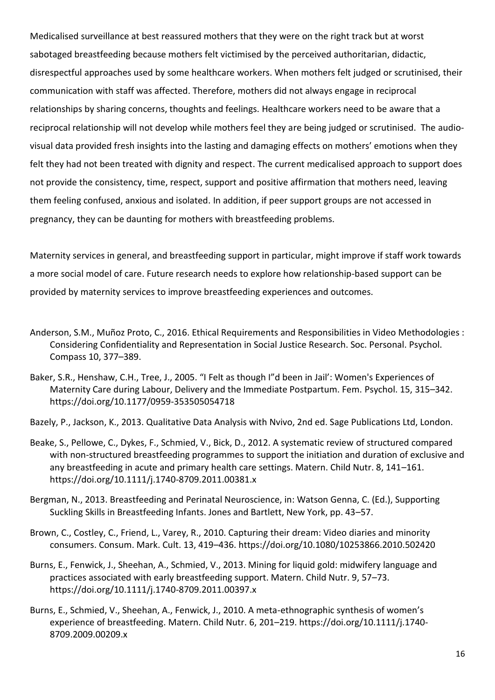Medicalised surveillance at best reassured mothers that they were on the right track but at worst sabotaged breastfeeding because mothers felt victimised by the perceived authoritarian, didactic, disrespectful approaches used by some healthcare workers. When mothers felt judged or scrutinised, their communication with staff was affected. Therefore, mothers did not always engage in reciprocal relationships by sharing concerns, thoughts and feelings. Healthcare workers need to be aware that a reciprocal relationship will not develop while mothers feel they are being judged or scrutinised. The audiovisual data provided fresh insights into the lasting and damaging effects on mothers' emotions when they felt they had not been treated with dignity and respect. The current medicalised approach to support does not provide the consistency, time, respect, support and positive affirmation that mothers need, leaving them feeling confused, anxious and isolated. In addition, if peer support groups are not accessed in pregnancy, they can be daunting for mothers with breastfeeding problems.

Maternity services in general, and breastfeeding support in particular, might improve if staff work towards a more social model of care. Future research needs to explore how relationship-based support can be provided by maternity services to improve breastfeeding experiences and outcomes.

- Anderson, S.M., Muñoz Proto, C., 2016. Ethical Requirements and Responsibilities in Video Methodologies : Considering Confidentiality and Representation in Social Justice Research. Soc. Personal. Psychol. Compass 10, 377–389.
- Baker, S.R., Henshaw, C.H., Tree, J., 2005. "I Felt as though I"d been in Jail': Women's Experiences of Maternity Care during Labour, Delivery and the Immediate Postpartum. Fem. Psychol. 15, 315–342. https://doi.org/10.1177/0959-353505054718

Bazely, P., Jackson, K., 2013. Qualitative Data Analysis with Nvivo, 2nd ed. Sage Publications Ltd, London.

- Beake, S., Pellowe, C., Dykes, F., Schmied, V., Bick, D., 2012. A systematic review of structured compared with non-structured breastfeeding programmes to support the initiation and duration of exclusive and any breastfeeding in acute and primary health care settings. Matern. Child Nutr. 8, 141–161. https://doi.org/10.1111/j.1740-8709.2011.00381.x
- Bergman, N., 2013. Breastfeeding and Perinatal Neuroscience, in: Watson Genna, C. (Ed.), Supporting Suckling Skills in Breastfeeding Infants. Jones and Bartlett, New York, pp. 43–57.
- Brown, C., Costley, C., Friend, L., Varey, R., 2010. Capturing their dream: Video diaries and minority consumers. Consum. Mark. Cult. 13, 419–436. https://doi.org/10.1080/10253866.2010.502420
- Burns, E., Fenwick, J., Sheehan, A., Schmied, V., 2013. Mining for liquid gold: midwifery language and practices associated with early breastfeeding support. Matern. Child Nutr. 9, 57–73. https://doi.org/10.1111/j.1740-8709.2011.00397.x
- Burns, E., Schmied, V., Sheehan, A., Fenwick, J., 2010. A meta-ethnographic synthesis of women's experience of breastfeeding. Matern. Child Nutr. 6, 201–219. https://doi.org/10.1111/j.1740- 8709.2009.00209.x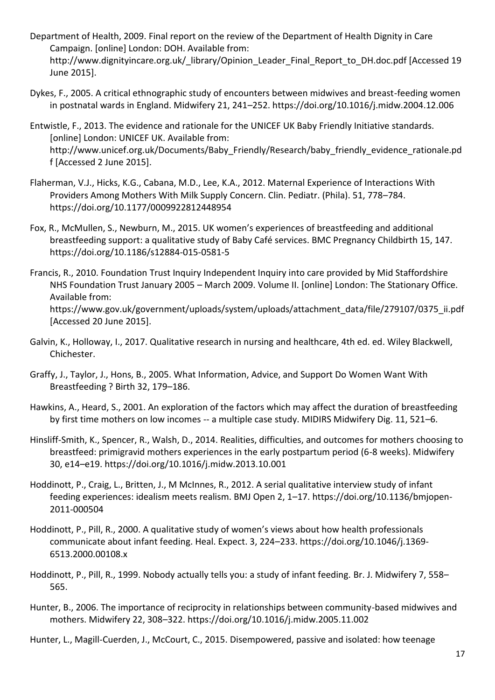- Department of Health, 2009. Final report on the review of the Department of Health Dignity in Care Campaign. [online] London: DOH. Available from: http://www.dignityincare.org.uk/ library/Opinion\_Leader\_Final\_Report\_to\_DH.doc.pdf [Accessed 19 June 2015].
- Dykes, F., 2005. A critical ethnographic study of encounters between midwives and breast-feeding women in postnatal wards in England. Midwifery 21, 241–252. https://doi.org/10.1016/j.midw.2004.12.006
- Entwistle, F., 2013. The evidence and rationale for the UNICEF UK Baby Friendly Initiative standards. [online] London: UNICEF UK. Available from: http://www.unicef.org.uk/Documents/Baby\_Friendly/Research/baby\_friendly\_evidence\_rationale.pd f [Accessed 2 June 2015].
- Flaherman, V.J., Hicks, K.G., Cabana, M.D., Lee, K.A., 2012. Maternal Experience of Interactions With Providers Among Mothers With Milk Supply Concern. Clin. Pediatr. (Phila). 51, 778–784. https://doi.org/10.1177/0009922812448954
- Fox, R., McMullen, S., Newburn, M., 2015. UK women's experiences of breastfeeding and additional breastfeeding support: a qualitative study of Baby Café services. BMC Pregnancy Childbirth 15, 147. https://doi.org/10.1186/s12884-015-0581-5
- Francis, R., 2010. Foundation Trust Inquiry Independent Inquiry into care provided by Mid Staffordshire NHS Foundation Trust January 2005 – March 2009. Volume II. [online] London: The Stationary Office. Available from: https://www.gov.uk/government/uploads/system/uploads/attachment\_data/file/279107/0375\_ii.pdf [Accessed 20 June 2015].
- Galvin, K., Holloway, I., 2017. Qualitative research in nursing and healthcare, 4th ed. ed. Wiley Blackwell, Chichester.
- Graffy, J., Taylor, J., Hons, B., 2005. What Information, Advice, and Support Do Women Want With Breastfeeding ? Birth 32, 179–186.
- Hawkins, A., Heard, S., 2001. An exploration of the factors which may affect the duration of breastfeeding by first time mothers on low incomes -- a multiple case study. MIDIRS Midwifery Dig. 11, 521–6.
- Hinsliff-Smith, K., Spencer, R., Walsh, D., 2014. Realities, difficulties, and outcomes for mothers choosing to breastfeed: primigravid mothers experiences in the early postpartum period (6-8 weeks). Midwifery 30, e14–e19. https://doi.org/10.1016/j.midw.2013.10.001
- Hoddinott, P., Craig, L., Britten, J., M McInnes, R., 2012. A serial qualitative interview study of infant feeding experiences: idealism meets realism. BMJ Open 2, 1–17. https://doi.org/10.1136/bmjopen-2011-000504
- Hoddinott, P., Pill, R., 2000. A qualitative study of women's views about how health professionals communicate about infant feeding. Heal. Expect. 3, 224–233. https://doi.org/10.1046/j.1369- 6513.2000.00108.x
- Hoddinott, P., Pill, R., 1999. Nobody actually tells you: a study of infant feeding. Br. J. Midwifery 7, 558– 565.
- Hunter, B., 2006. The importance of reciprocity in relationships between community-based midwives and mothers. Midwifery 22, 308–322. https://doi.org/10.1016/j.midw.2005.11.002
- Hunter, L., Magill-Cuerden, J., McCourt, C., 2015. Disempowered, passive and isolated: how teenage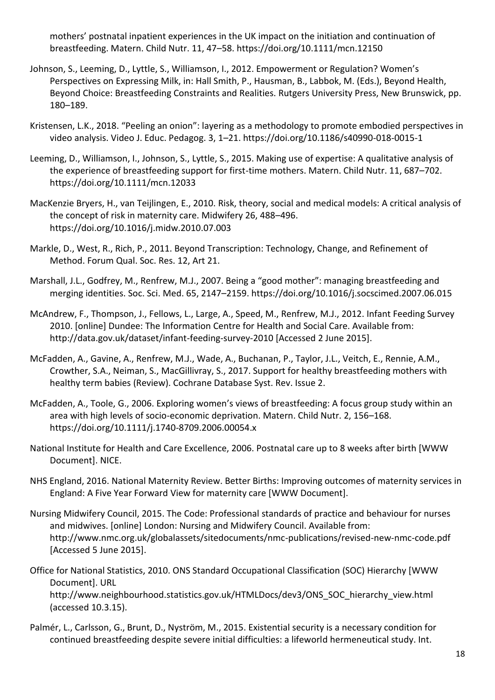mothers' postnatal inpatient experiences in the UK impact on the initiation and continuation of breastfeeding. Matern. Child Nutr. 11, 47–58. https://doi.org/10.1111/mcn.12150

- Johnson, S., Leeming, D., Lyttle, S., Williamson, I., 2012. Empowerment or Regulation? Women's Perspectives on Expressing Milk, in: Hall Smith, P., Hausman, B., Labbok, M. (Eds.), Beyond Health, Beyond Choice: Breastfeeding Constraints and Realities. Rutgers University Press, New Brunswick, pp. 180–189.
- Kristensen, L.K., 2018. "Peeling an onion": layering as a methodology to promote embodied perspectives in video analysis. Video J. Educ. Pedagog. 3, 1–21. https://doi.org/10.1186/s40990-018-0015-1
- Leeming, D., Williamson, I., Johnson, S., Lyttle, S., 2015. Making use of expertise: A qualitative analysis of the experience of breastfeeding support for first-time mothers. Matern. Child Nutr. 11, 687–702. https://doi.org/10.1111/mcn.12033
- MacKenzie Bryers, H., van Teijlingen, E., 2010. Risk, theory, social and medical models: A critical analysis of the concept of risk in maternity care. Midwifery 26, 488–496. https://doi.org/10.1016/j.midw.2010.07.003
- Markle, D., West, R., Rich, P., 2011. Beyond Transcription: Technology, Change, and Refinement of Method. Forum Qual. Soc. Res. 12, Art 21.
- Marshall, J.L., Godfrey, M., Renfrew, M.J., 2007. Being a "good mother": managing breastfeeding and merging identities. Soc. Sci. Med. 65, 2147–2159. https://doi.org/10.1016/j.socscimed.2007.06.015
- McAndrew, F., Thompson, J., Fellows, L., Large, A., Speed, M., Renfrew, M.J., 2012. Infant Feeding Survey 2010. [online] Dundee: The Information Centre for Health and Social Care. Available from: http://data.gov.uk/dataset/infant-feeding-survey-2010 [Accessed 2 June 2015].
- McFadden, A., Gavine, A., Renfrew, M.J., Wade, A., Buchanan, P., Taylor, J.L., Veitch, E., Rennie, A.M., Crowther, S.A., Neiman, S., MacGillivray, S., 2017. Support for healthy breastfeeding mothers with healthy term babies (Review). Cochrane Database Syst. Rev. Issue 2.
- McFadden, A., Toole, G., 2006. Exploring women's views of breastfeeding: A focus group study within an area with high levels of socio-economic deprivation. Matern. Child Nutr. 2, 156–168. https://doi.org/10.1111/j.1740-8709.2006.00054.x
- National Institute for Health and Care Excellence, 2006. Postnatal care up to 8 weeks after birth [WWW Document]. NICE.
- NHS England, 2016. National Maternity Review. Better Births: Improving outcomes of maternity services in England: A Five Year Forward View for maternity care [WWW Document].
- Nursing Midwifery Council, 2015. The Code: Professional standards of practice and behaviour for nurses and midwives. [online] London: Nursing and Midwifery Council. Available from: http://www.nmc.org.uk/globalassets/sitedocuments/nmc-publications/revised-new-nmc-code.pdf [Accessed 5 June 2015].
- Office for National Statistics, 2010. ONS Standard Occupational Classification (SOC) Hierarchy [WWW Document]. URL http://www.neighbourhood.statistics.gov.uk/HTMLDocs/dev3/ONS\_SOC\_hierarchy\_view.html (accessed 10.3.15).
- Palmér, L., Carlsson, G., Brunt, D., Nyström, M., 2015. Existential security is a necessary condition for continued breastfeeding despite severe initial difficulties: a lifeworld hermeneutical study. Int.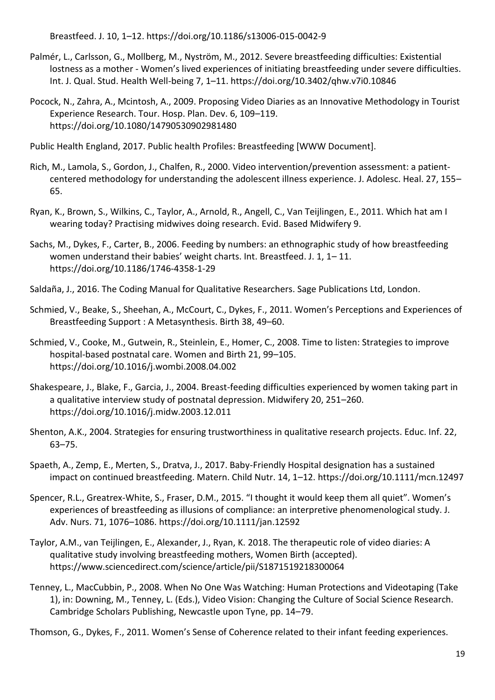Breastfeed. J. 10, 1–12. https://doi.org/10.1186/s13006-015-0042-9

- Palmér, L., Carlsson, G., Mollberg, M., Nyström, M., 2012. Severe breastfeeding difficulties: Existential lostness as a mother - Women's lived experiences of initiating breastfeeding under severe difficulties. Int. J. Qual. Stud. Health Well-being 7, 1–11. https://doi.org/10.3402/qhw.v7i0.10846
- Pocock, N., Zahra, A., Mcintosh, A., 2009. Proposing Video Diaries as an Innovative Methodology in Tourist Experience Research. Tour. Hosp. Plan. Dev. 6, 109–119. https://doi.org/10.1080/14790530902981480

Public Health England, 2017. Public health Profiles: Breastfeeding [WWW Document].

- Rich, M., Lamola, S., Gordon, J., Chalfen, R., 2000. Video intervention/prevention assessment: a patientcentered methodology for understanding the adolescent illness experience. J. Adolesc. Heal. 27, 155– 65.
- Ryan, K., Brown, S., Wilkins, C., Taylor, A., Arnold, R., Angell, C., Van Teijlingen, E., 2011. Which hat am I wearing today? Practising midwives doing research. Evid. Based Midwifery 9.
- Sachs, M., Dykes, F., Carter, B., 2006. Feeding by numbers: an ethnographic study of how breastfeeding women understand their babies' weight charts. Int. Breastfeed. J. 1, 1– 11. https://doi.org/10.1186/1746-4358-1-29

Saldaña, J., 2016. The Coding Manual for Qualitative Researchers. Sage Publications Ltd, London.

- Schmied, V., Beake, S., Sheehan, A., McCourt, C., Dykes, F., 2011. Women's Perceptions and Experiences of Breastfeeding Support : A Metasynthesis. Birth 38, 49–60.
- Schmied, V., Cooke, M., Gutwein, R., Steinlein, E., Homer, C., 2008. Time to listen: Strategies to improve hospital-based postnatal care. Women and Birth 21, 99–105. https://doi.org/10.1016/j.wombi.2008.04.002
- Shakespeare, J., Blake, F., Garcia, J., 2004. Breast-feeding difficulties experienced by women taking part in a qualitative interview study of postnatal depression. Midwifery 20, 251–260. https://doi.org/10.1016/j.midw.2003.12.011
- Shenton, A.K., 2004. Strategies for ensuring trustworthiness in qualitative research projects. Educ. Inf. 22, 63–75.
- Spaeth, A., Zemp, E., Merten, S., Dratva, J., 2017. Baby-Friendly Hospital designation has a sustained impact on continued breastfeeding. Matern. Child Nutr. 14, 1–12. https://doi.org/10.1111/mcn.12497
- Spencer, R.L., Greatrex-White, S., Fraser, D.M., 2015. "I thought it would keep them all quiet". Women's experiences of breastfeeding as illusions of compliance: an interpretive phenomenological study. J. Adv. Nurs. 71, 1076–1086. https://doi.org/10.1111/jan.12592
- Taylor, A.M., van Teijlingen, E., Alexander, J., Ryan, K. 2018. The therapeutic role of video diaries: A qualitative study involving breastfeeding mothers, Women Birth (accepted). https://www.sciencedirect.com/science/article/pii/S1871519218300064
- Tenney, L., MacCubbin, P., 2008. When No One Was Watching: Human Protections and Videotaping (Take 1), in: Downing, M., Tenney, L. (Eds.), Video Vision: Changing the Culture of Social Science Research. Cambridge Scholars Publishing, Newcastle upon Tyne, pp. 14–79.

Thomson, G., Dykes, F., 2011. Women's Sense of Coherence related to their infant feeding experiences.